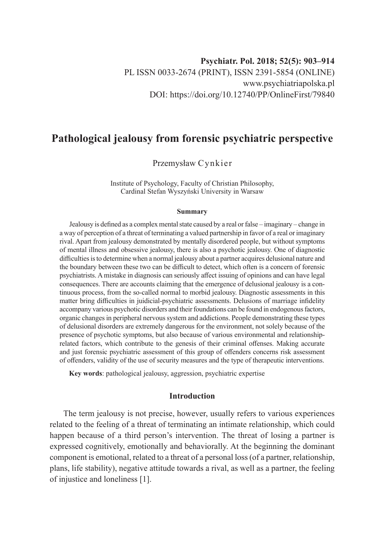# **Pathological jealousy from forensic psychiatric perspective**

Przemysław Cynkier

Institute of Psychology, Faculty of Christian Philosophy, Cardinal Stefan Wyszyński University in Warsaw

#### **Summary**

Jealousy is defined as a complex mental state caused by a real or false – imaginary – change in a way of perception of a threat of terminating a valued partnership in favor of a real or imaginary rival. Apart from jealousy demonstrated by mentally disordered people, but without symptoms of mental illness and obsessive jealousy, there is also a psychotic jealousy. One of diagnostic difficulties is to determine when a normal jealousy about a partner acquires delusional nature and the boundary between these two can be difficult to detect, which often is a concern of forensic psychiatrists. A mistake in diagnosis can seriously affect issuing of opinions and can have legal consequences. There are accounts claiming that the emergence of delusional jealousy is a continuous process, from the so-called normal to morbid jealousy. Diagnostic assessments in this matter bring difficulties in juidicial-psychiatric assessments. Delusions of marriage infidelity accompany various psychotic disorders and their foundations can be found in endogenous factors, organic changes in peripheral nervous system and addictions. People demonstrating these types of delusional disorders are extremely dangerous for the environment, not solely because of the presence of psychotic symptoms, but also because of various environmental and relationshiprelated factors, which contribute to the genesis of their criminal offenses. Making accurate and just forensic psychiatric assessment of this group of offenders concerns risk assessment of offenders, validity of the use of security measures and the type of therapeutic interventions.

**Key words**: pathological jealousy, aggression, psychiatric expertise

## **Introduction**

The term jealousy is not precise, however, usually refers to various experiences related to the feeling of a threat of terminating an intimate relationship, which could happen because of a third person's intervention. The threat of losing a partner is expressed cognitively, emotionally and behaviorally. At the beginning the dominant component is emotional, related to a threat of a personal loss (of a partner, relationship, plans, life stability), negative attitude towards a rival, as well as a partner, the feeling of injustice and loneliness [1].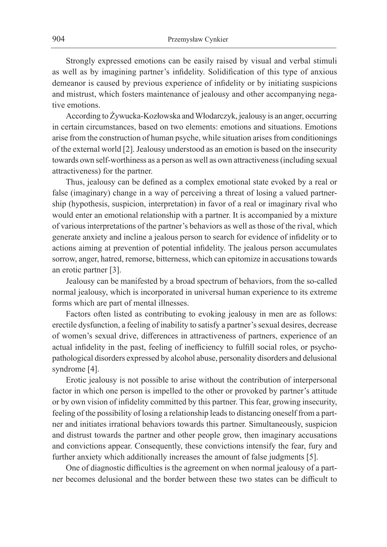Strongly expressed emotions can be easily raised by visual and verbal stimuli as well as by imagining partner's infidelity. Solidification of this type of anxious demeanor is caused by previous experience of infidelity or by initiating suspicions and mistrust, which fosters maintenance of jealousy and other accompanying negative emotions.

According to Żywucka-Kozłowska and Włodarczyk, jealousy is an anger, occurring in certain circumstances, based on two elements: emotions and situations. Emotions arise from the construction of human psyche, while situation arises from conditionings of the external world [2]. Jealousy understood as an emotion is based on the insecurity towards own self-worthiness as a person as well as own attractiveness (including sexual attractiveness) for the partner.

Thus, jealousy can be defined as a complex emotional state evoked by a real or false (imaginary) change in a way of perceiving a threat of losing a valued partnership (hypothesis, suspicion, interpretation) in favor of a real or imaginary rival who would enter an emotional relationship with a partner. It is accompanied by a mixture of various interpretations of the partner's behaviors as well as those of the rival, which generate anxiety and incline a jealous person to search for evidence of infidelity or to actions aiming at prevention of potential infidelity. The jealous person accumulates sorrow, anger, hatred, remorse, bitterness, which can epitomize in accusations towards an erotic partner [3].

Jealousy can be manifested by a broad spectrum of behaviors, from the so-called normal jealousy, which is incorporated in universal human experience to its extreme forms which are part of mental illnesses.

Factors often listed as contributing to evoking jealousy in men are as follows: erectile dysfunction, a feeling of inability to satisfy a partner's sexual desires, decrease of women's sexual drive, differences in attractiveness of partners, experience of an actual infidelity in the past, feeling of inefficiency to fulfill social roles, or psychopathological disorders expressed by alcohol abuse, personality disorders and delusional syndrome [4].

Erotic jealousy is not possible to arise without the contribution of interpersonal factor in which one person is impelled to the other or provoked by partner's attitude or by own vision of infidelity committed by this partner. This fear, growing insecurity, feeling of the possibility of losing a relationship leads to distancing oneself from a partner and initiates irrational behaviors towards this partner. Simultaneously, suspicion and distrust towards the partner and other people grow, then imaginary accusations and convictions appear. Consequently, these convictions intensify the fear, fury and further anxiety which additionally increases the amount of false judgments [5].

One of diagnostic difficulties is the agreement on when normal jealousy of a partner becomes delusional and the border between these two states can be difficult to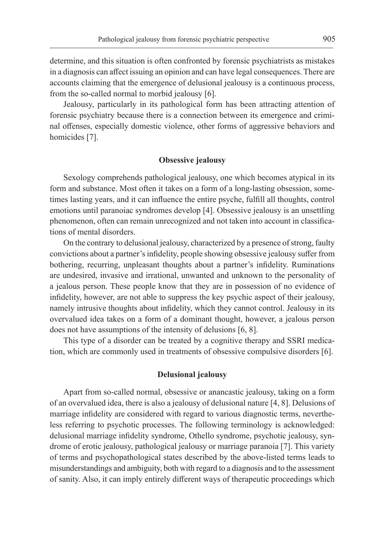determine, and this situation is often confronted by forensic psychiatrists as mistakes in a diagnosis can affect issuing an opinion and can have legal consequences. There are accounts claiming that the emergence of delusional jealousy is a continuous process, from the so-called normal to morbid jealousy [6].

Jealousy, particularly in its pathological form has been attracting attention of forensic psychiatry because there is a connection between its emergence and criminal offenses, especially domestic violence, other forms of aggressive behaviors and homicides [7].

# **Obsessive jealousy**

Sexology comprehends pathological jealousy, one which becomes atypical in its form and substance. Most often it takes on a form of a long-lasting obsession, sometimes lasting years, and it can influence the entire psyche, fulfill all thoughts, control emotions until paranoiac syndromes develop [4]. Obsessive jealousy is an unsettling phenomenon, often can remain unrecognized and not taken into account in classifications of mental disorders.

On the contrary to delusional jealousy, characterized by a presence of strong, faulty convictions about a partner's infidelity, people showing obsessive jealousy suffer from bothering, recurring, unpleasant thoughts about a partner's infidelity. Ruminations are undesired, invasive and irrational, unwanted and unknown to the personality of a jealous person. These people know that they are in possession of no evidence of infidelity, however, are not able to suppress the key psychic aspect of their jealousy, namely intrusive thoughts about infidelity, which they cannot control. Jealousy in its overvalued idea takes on a form of a dominant thought, however, a jealous person does not have assumptions of the intensity of delusions [6, 8].

This type of a disorder can be treated by a cognitive therapy and SSRI medication, which are commonly used in treatments of obsessive compulsive disorders [6].

#### **Delusional jealousy**

Apart from so-called normal, obsessive or anancastic jealousy, taking on a form of an overvalued idea, there is also a jealousy of delusional nature [4, 8]. Delusions of marriage infidelity are considered with regard to various diagnostic terms, nevertheless referring to psychotic processes. The following terminology is acknowledged: delusional marriage infidelity syndrome, Othello syndrome, psychotic jealousy, syndrome of erotic jealousy, pathological jealousy or marriage paranoia [7]. This variety of terms and psychopathological states described by the above-listed terms leads to misunderstandings and ambiguity, both with regard to a diagnosis and to the assessment of sanity. Also, it can imply entirely different ways of therapeutic proceedings which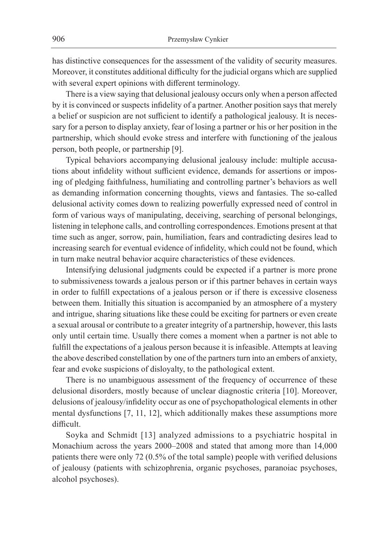has distinctive consequences for the assessment of the validity of security measures. Moreover, it constitutes additional difficulty for the judicial organs which are supplied with several expert opinions with different terminology.

There is a view saying that delusional jealousy occurs only when a person affected by it is convinced or suspects infidelity of a partner. Another position says that merely a belief or suspicion are not sufficient to identify a pathological jealousy. It is necessary for a person to display anxiety, fear of losing a partner or his or her position in the partnership, which should evoke stress and interfere with functioning of the jealous person, both people, or partnership [9].

Typical behaviors accompanying delusional jealousy include: multiple accusations about infidelity without sufficient evidence, demands for assertions or imposing of pledging faithfulness, humiliating and controlling partner's behaviors as well as demanding information concerning thoughts, views and fantasies. The so-called delusional activity comes down to realizing powerfully expressed need of control in form of various ways of manipulating, deceiving, searching of personal belongings, listening in telephone calls, and controlling correspondences. Emotions present at that time such as anger, sorrow, pain, humiliation, fears and contradicting desires lead to increasing search for eventual evidence of infidelity, which could not be found, which in turn make neutral behavior acquire characteristics of these evidences.

Intensifying delusional judgments could be expected if a partner is more prone to submissiveness towards a jealous person or if this partner behaves in certain ways in order to fulfill expectations of a jealous person or if there is excessive closeness between them. Initially this situation is accompanied by an atmosphere of a mystery and intrigue, sharing situations like these could be exciting for partners or even create a sexual arousal or contribute to a greater integrity of a partnership, however, this lasts only until certain time. Usually there comes a moment when a partner is not able to fulfill the expectations of a jealous person because it is infeasible. Attempts at leaving the above described constellation by one of the partners turn into an embers of anxiety, fear and evoke suspicions of disloyalty, to the pathological extent.

There is no unambiguous assessment of the frequency of occurrence of these delusional disorders, mostly because of unclear diagnostic criteria [10]. Moreover, delusions of jealousy/infidelity occur as one of psychopathological elements in other mental dysfunctions [7, 11, 12], which additionally makes these assumptions more difficult.

Soyka and Schmidt [13] analyzed admissions to a psychiatric hospital in Monachium across the years 2000–2008 and stated that among more than 14,000 patients there were only 72 (0.5% of the total sample) people with verified delusions of jealousy (patients with schizophrenia, organic psychoses, paranoiac psychoses, alcohol psychoses).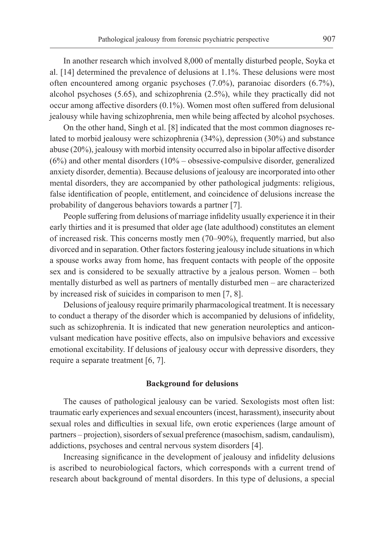In another research which involved 8,000 of mentally disturbed people, Soyka et al. [14] determined the prevalence of delusions at 1.1%. These delusions were most often encountered among organic psychoses (7.0%), paranoiac disorders (6.7%), alcohol psychoses (5.65), and schizophrenia (2.5%), while they practically did not occur among affective disorders (0.1%). Women most often suffered from delusional jealousy while having schizophrenia, men while being affected by alcohol psychoses.

On the other hand, Singh et al. [8] indicated that the most common diagnoses related to morbid jealousy were schizophrenia (34%), depression (30%) and substance abuse (20%), jealousy with morbid intensity occurred also in bipolar affective disorder  $(6\%)$  and other mental disorders  $(10\% - \text{obsessive-compulse}$  disorder, generalized anxiety disorder, dementia). Because delusions of jealousy are incorporated into other mental disorders, they are accompanied by other pathological judgments: religious, false identification of people, entitlement, and coincidence of delusions increase the probability of dangerous behaviors towards a partner [7].

People suffering from delusions of marriage infidelity usually experience it in their early thirties and it is presumed that older age (late adulthood) constitutes an element of increased risk. This concerns mostly men (70–90%), frequently married, but also divorced and in separation. Other factors fostering jealousy include situations in which a spouse works away from home, has frequent contacts with people of the opposite sex and is considered to be sexually attractive by a jealous person. Women – both mentally disturbed as well as partners of mentally disturbed men – are characterized by increased risk of suicides in comparison to men [7, 8].

Delusions of jealousy require primarily pharmacological treatment. It is necessary to conduct a therapy of the disorder which is accompanied by delusions of infidelity, such as schizophrenia. It is indicated that new generation neuroleptics and anticonvulsant medication have positive effects, also on impulsive behaviors and excessive emotional excitability. If delusions of jealousy occur with depressive disorders, they require a separate treatment [6, 7].

#### **Background for delusions**

The causes of pathological jealousy can be varied. Sexologists most often list: traumatic early experiences and sexual encounters (incest, harassment), insecurity about sexual roles and difficulties in sexual life, own erotic experiences (large amount of partners – projection), sisorders of sexual preference (masochism, sadism, candaulism), addictions, psychoses and central nervous system disorders [4].

Increasing significance in the development of jealousy and infidelity delusions is ascribed to neurobiological factors, which corresponds with a current trend of research about background of mental disorders. In this type of delusions, a special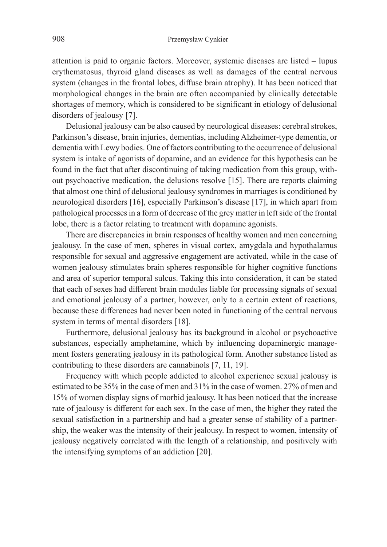attention is paid to organic factors. Moreover, systemic diseases are listed – lupus erythematosus, thyroid gland diseases as well as damages of the central nervous system (changes in the frontal lobes, diffuse brain atrophy). It has been noticed that morphological changes in the brain are often accompanied by clinically detectable shortages of memory, which is considered to be significant in etiology of delusional disorders of jealousy [7].

Delusional jealousy can be also caused by neurological diseases: cerebral strokes, Parkinson's disease, brain injuries, dementias, including Alzheimer-type dementia, or dementia with Lewy bodies. One of factors contributing to the occurrence of delusional system is intake of agonists of dopamine, and an evidence for this hypothesis can be found in the fact that after discontinuing of taking medication from this group, without psychoactive medication, the delusions resolve [15]. There are reports claiming that almost one third of delusional jealousy syndromes in marriages is conditioned by neurological disorders [16], especially Parkinson's disease [17], in which apart from pathological processes in a form of decrease of the grey matter in left side of the frontal lobe, there is a factor relating to treatment with dopamine agonists.

There are discrepancies in brain responses of healthy women and men concerning jealousy. In the case of men, spheres in visual cortex, amygdala and hypothalamus responsible for sexual and aggressive engagement are activated, while in the case of women jealousy stimulates brain spheres responsible for higher cognitive functions and area of superior temporal sulcus. Taking this into consideration, it can be stated that each of sexes had different brain modules liable for processing signals of sexual and emotional jealousy of a partner, however, only to a certain extent of reactions, because these differences had never been noted in functioning of the central nervous system in terms of mental disorders [18].

Furthermore, delusional jealousy has its background in alcohol or psychoactive substances, especially amphetamine, which by influencing dopaminergic management fosters generating jealousy in its pathological form. Another substance listed as contributing to these disorders are cannabinols [7, 11, 19].

Frequency with which people addicted to alcohol experience sexual jealousy is estimated to be 35% in the case of men and 31% in the case of women. 27% of men and 15% of women display signs of morbid jealousy. It has been noticed that the increase rate of jealousy is different for each sex. In the case of men, the higher they rated the sexual satisfaction in a partnership and had a greater sense of stability of a partnership, the weaker was the intensity of their jealousy. In respect to women, intensity of jealousy negatively correlated with the length of a relationship, and positively with the intensifying symptoms of an addiction [20].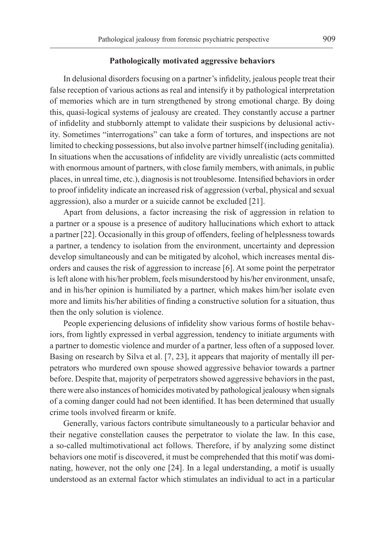#### **Pathologically motivated aggressive behaviors**

In delusional disorders focusing on a partner's infidelity, jealous people treat their false reception of various actions as real and intensify it by pathological interpretation of memories which are in turn strengthened by strong emotional charge. By doing this, quasi-logical systems of jealousy are created. They constantly accuse a partner of infidelity and stubbornly attempt to validate their suspicions by delusional activity. Sometimes "interrogations" can take a form of tortures, and inspections are not limited to checking possessions, but also involve partner himself (including genitalia). In situations when the accusations of infidelity are vividly unrealistic (acts committed with enormous amount of partners, with close family members, with animals, in public places, in unreal time, etc.), diagnosis is not troublesome. Intensified behaviors in order to proof infidelity indicate an increased risk of aggression (verbal, physical and sexual aggression), also a murder or a suicide cannot be excluded [21].

Apart from delusions, a factor increasing the risk of aggression in relation to a partner or a spouse is a presence of auditory hallucinations which exhort to attack a partner [22]. Occasionally in this group of offenders, feeling of helplessness towards a partner, a tendency to isolation from the environment, uncertainty and depression develop simultaneously and can be mitigated by alcohol, which increases mental disorders and causes the risk of aggression to increase [6]. At some point the perpetrator is left alone with his/her problem, feels misunderstood by his/her environment, unsafe, and in his/her opinion is humiliated by a partner, which makes him/her isolate even more and limits his/her abilities of finding a constructive solution for a situation, thus then the only solution is violence.

People experiencing delusions of infidelity show various forms of hostile behaviors, from lightly expressed in verbal aggression, tendency to initiate arguments with a partner to domestic violence and murder of a partner, less often of a supposed lover. Basing on research by Silva et al. [7, 23], it appears that majority of mentally ill perpetrators who murdered own spouse showed aggressive behavior towards a partner before. Despite that, majority of perpetrators showed aggressive behaviors in the past, there were also instances of homicides motivated by pathological jealousy when signals of a coming danger could had not been identified. It has been determined that usually crime tools involved firearm or knife.

Generally, various factors contribute simultaneously to a particular behavior and their negative constellation causes the perpetrator to violate the law. In this case, a so-called multimotivational act follows. Therefore, if by analyzing some distinct behaviors one motif is discovered, it must be comprehended that this motif was dominating, however, not the only one [24]. In a legal understanding, a motif is usually understood as an external factor which stimulates an individual to act in a particular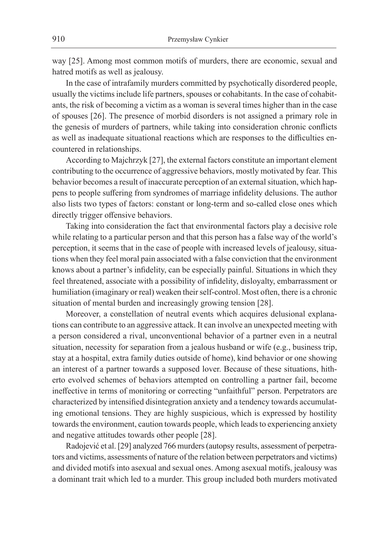way [25]. Among most common motifs of murders, there are economic, sexual and hatred motifs as well as jealousy.

In the case of intrafamily murders committed by psychotically disordered people, usually the victims include life partners, spouses or cohabitants. In the case of cohabitants, the risk of becoming a victim as a woman is several times higher than in the case of spouses [26]. The presence of morbid disorders is not assigned a primary role in the genesis of murders of partners, while taking into consideration chronic conflicts as well as inadequate situational reactions which are responses to the difficulties encountered in relationships.

According to Majchrzyk [27], the external factors constitute an important element contributing to the occurrence of aggressive behaviors, mostly motivated by fear. This behavior becomes a result of inaccurate perception of an external situation, which happens to people suffering from syndromes of marriage infidelity delusions. The author also lists two types of factors: constant or long-term and so-called close ones which directly trigger offensive behaviors.

Taking into consideration the fact that environmental factors play a decisive role while relating to a particular person and that this person has a false way of the world's perception, it seems that in the case of people with increased levels of jealousy, situations when they feel moral pain associated with a false conviction that the environment knows about a partner's infidelity, can be especially painful. Situations in which they feel threatened, associate with a possibility of infidelity, disloyalty, embarrassment or humiliation (imaginary or real) weaken their self-control. Most often, there is a chronic situation of mental burden and increasingly growing tension [28].

Moreover, a constellation of neutral events which acquires delusional explanations can contribute to an aggressive attack. It can involve an unexpected meeting with a person considered a rival, unconventional behavior of a partner even in a neutral situation, necessity for separation from a jealous husband or wife (e.g., business trip, stay at a hospital, extra family duties outside of home), kind behavior or one showing an interest of a partner towards a supposed lover. Because of these situations, hitherto evolved schemes of behaviors attempted on controlling a partner fail, become ineffective in terms of monitoring or correcting "unfaithful" person. Perpetrators are characterized by intensified disintegration anxiety and a tendency towards accumulating emotional tensions. They are highly suspicious, which is expressed by hostility towards the environment, caution towards people, which leads to experiencing anxiety and negative attitudes towards other people [28].

Radojević et al. [29] analyzed 766 murders (autopsy results, assessment of perpetrators and victims, assessments of nature of the relation between perpetrators and victims) and divided motifs into asexual and sexual ones. Among asexual motifs, jealousy was a dominant trait which led to a murder. This group included both murders motivated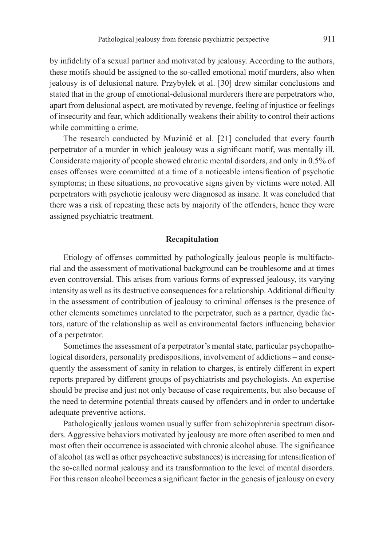by infidelity of a sexual partner and motivated by jealousy. According to the authors, these motifs should be assigned to the so-called emotional motif murders, also when jealousy is of delusional nature. Przybyłek et al. [30] drew similar conclusions and stated that in the group of emotional-delusional murderers there are perpetrators who, apart from delusional aspect, are motivated by revenge, feeling of injustice or feelings of insecurity and fear, which additionally weakens their ability to control their actions while committing a crime.

The research conducted by Muzinić et al. [21] concluded that every fourth perpetrator of a murder in which jealousy was a significant motif, was mentally ill. Considerate majority of people showed chronic mental disorders, and only in 0.5% of cases offenses were committed at a time of a noticeable intensification of psychotic symptoms; in these situations, no provocative signs given by victims were noted. All perpetrators with psychotic jealousy were diagnosed as insane. It was concluded that there was a risk of repeating these acts by majority of the offenders, hence they were assigned psychiatric treatment.

#### **Recapitulation**

Etiology of offenses committed by pathologically jealous people is multifactorial and the assessment of motivational background can be troublesome and at times even controversial. This arises from various forms of expressed jealousy, its varying intensity as well as its destructive consequences for a relationship. Additional difficulty in the assessment of contribution of jealousy to criminal offenses is the presence of other elements sometimes unrelated to the perpetrator, such as a partner, dyadic factors, nature of the relationship as well as environmental factors influencing behavior of a perpetrator.

Sometimes the assessment of a perpetrator's mental state, particular psychopathological disorders, personality predispositions, involvement of addictions – and consequently the assessment of sanity in relation to charges, is entirely different in expert reports prepared by different groups of psychiatrists and psychologists. An expertise should be precise and just not only because of case requirements, but also because of the need to determine potential threats caused by offenders and in order to undertake adequate preventive actions.

Pathologically jealous women usually suffer from schizophrenia spectrum disorders. Aggressive behaviors motivated by jealousy are more often ascribed to men and most often their occurrence is associated with chronic alcohol abuse. The significance of alcohol (as well as other psychoactive substances) is increasing for intensification of the so-called normal jealousy and its transformation to the level of mental disorders. For this reason alcohol becomes a significant factor in the genesis of jealousy on every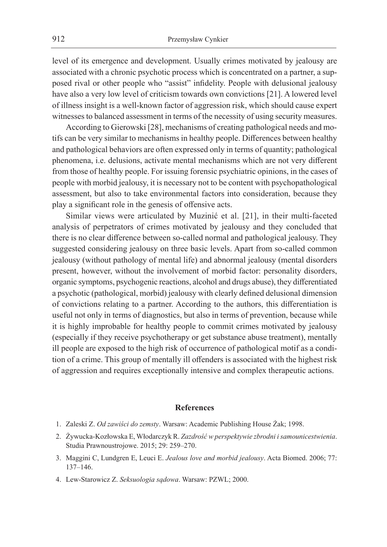level of its emergence and development. Usually crimes motivated by jealousy are associated with a chronic psychotic process which is concentrated on a partner, a supposed rival or other people who "assist" infidelity. People with delusional jealousy have also a very low level of criticism towards own convictions [21]. A lowered level of illness insight is a well-known factor of aggression risk, which should cause expert witnesses to balanced assessment in terms of the necessity of using security measures.

According to Gierowski [28], mechanisms of creating pathological needs and motifs can be very similar to mechanisms in healthy people. Differences between healthy and pathological behaviors are often expressed only in terms of quantity; pathological phenomena, i.e. delusions, activate mental mechanisms which are not very different from those of healthy people. For issuing forensic psychiatric opinions, in the cases of people with morbid jealousy, it is necessary not to be content with psychopathological assessment, but also to take environmental factors into consideration, because they play a significant role in the genesis of offensive acts.

Similar views were articulated by Muzinić et al. [21], in their multi-faceted analysis of perpetrators of crimes motivated by jealousy and they concluded that there is no clear difference between so-called normal and pathological jealousy. They suggested considering jealousy on three basic levels. Apart from so-called common jealousy (without pathology of mental life) and abnormal jealousy (mental disorders present, however, without the involvement of morbid factor: personality disorders, organic symptoms, psychogenic reactions, alcohol and drugs abuse), they differentiated a psychotic (pathological, morbid) jealousy with clearly defined delusional dimension of convictions relating to a partner. According to the authors, this differentiation is useful not only in terms of diagnostics, but also in terms of prevention, because while it is highly improbable for healthy people to commit crimes motivated by jealousy (especially if they receive psychotherapy or get substance abuse treatment), mentally ill people are exposed to the high risk of occurrence of pathological motif as a condition of a crime. This group of mentally ill offenders is associated with the highest risk of aggression and requires exceptionally intensive and complex therapeutic actions.

## **References**

- 1. Zaleski Z. *Od zawiści do zemsty*. Warsaw: Academic Publishing House Żak; 1998.
- 2. Żywucka-Kozłowska E, Włodarczyk R. *Zazdrość w perspektywie zbrodni i samounicestwienia*. Studia Prawnoustrojowe. 2015; 29: 259–270.
- 3. Maggini C, Lundgren E, Leuci E. *Jealous love and morbid jealousy*. Acta Biomed. 2006; 77: 137–146.
- 4. Lew-Starowicz Z. *Seksuologia sądowa*. Warsaw: PZWL; 2000.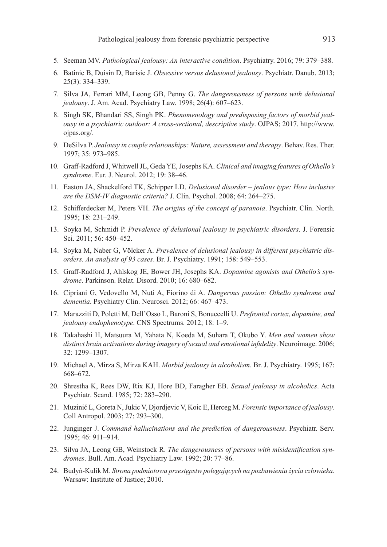- 5. Seeman MV. *Pathological jealousy: An interactive condition*. Psychiatry. 2016; 79: 379–388.
- 6. Batinic B, Duisin D, Barisic J. *Obsessive versus delusional jealousy*. Psychiatr. Danub. 2013; 25(3): 334–339.
- 7. Silva JA, Ferrari MM, Leong GB, Penny G. *The dangerousness of persons with delusional jealousy*. J. Am. Acad. Psychiatry Law. 1998; 26(4): 607–623.
- 8. Singh SK, Bhandari SS, Singh PK. *Phenomenology and predisposing factors of morbid jealousy in a psychiatric outdoor: A cross-sectional, descriptive study*. OJPAS; 2017. http://www. ojpas.org/.
- 9. DeSilva P. *Jealousy in couple relationships: Nature, assessment and therapy*. Behav. Res. Ther. 1997; 35: 973–985.
- 10. Graff-Radford J, Whitwell JL, Geda YE, Josephs KA. *Clinical and imaging features of Othello's syndrome*. Eur. J. Neurol. 2012; 19: 38–46.
- 11. Easton JA, Shackelford TK, Schipper LD. *Delusional disorder jealous type: How inclusive are the DSM-IV diagnostic criteria?* J. Clin. Psychol. 2008; 64: 264–275.
- 12. Schifferdecker M, Peters VH. *The origins of the concept of paranoia*. Psychiatr. Clin. North. 1995; 18: 231–249.
- 13. Soyka M, Schmidt P. *Prevalence of delusional jealousy in psychiatric disorders*. J. Forensic Sci. 2011; 56: 450–452.
- 14. Soyka M, Naber G, Völcker A. *Prevalence of delusional jealousy in different psychiatric disorders. An analysis of 93 cases*. Br. J. Psychiatry. 1991; 158: 549–553.
- 15. Graff-Radford J, Ahlskog JE, Bower JH, Josephs KA. *Dopamine agonists and Othello's syndrome*. Parkinson. Relat. Disord. 2010; 16: 680–682.
- 16. Cipriani G, Vedovello M, Nuti A, Fiorino di A. *Dangerous passion: Othello syndrome and dementia*. Psychiatry Clin. Neurosci. 2012; 66: 467–473.
- 17. Marazziti D, Poletti M, Dell'Osso L, Baroni S, Bonuccelli U. *Prefrontal cortex, dopamine, and jealousy endophenotype*. CNS Spectrums. 2012; 18: 1–9.
- 18. Takahashi H, Matsuura M, Yahata N, Koeda M, Suhara T, Okubo Y. *Men and women show distinct brain activations during imagery of sexual and emotional infidelity*. Neuroimage. 2006; 32: 1299–1307.
- 19. Michael A, Mirza S, Mirza KAH. *Morbid jealousy in alcoholism*. Br. J. Psychiatry. 1995; 167: 668–672.
- 20. Shrestha K, Rees DW, Rix KJ, Hore BD, Faragher EB. *Sexual jealousy in alcoholics*. Acta Psychiatr. Scand. 1985; 72: 283–290.
- 21. Muzinić L, Goreta N, Jukic V, Djordjevic V, Koic E, Herceg M. *Forensic importance of jealousy*. Coll Antropol. 2003; 27: 293–300.
- 22. Junginger J. *Command hallucinations and the prediction of dangerousness*. Psychiatr. Serv. 1995; 46: 911–914.
- 23. Silva JA, Leong GB, Weinstock R. *The dangerousness of persons with misidentification syndromes*. Bull. Am. Acad. Psychiatry Law. 1992; 20: 77–86.
- 24. Budyń-Kulik M. *Strona podmiotowa przestępstw polegających na pozbawieniu życia człowieka*. Warsaw: Institute of Justice; 2010.